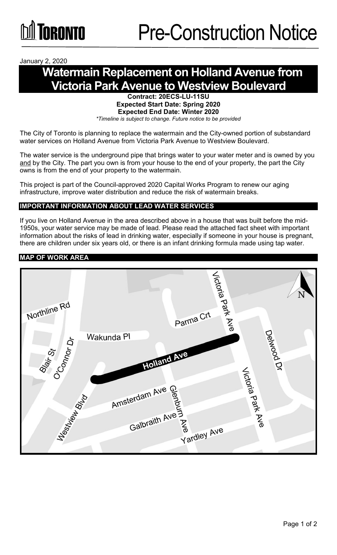January 2, 2020

# **Watermain Replacement on Holland Avenue from Victoria Park Avenue to Westview Boulevard**

**Contract: 20ECS-LU-11SU Expected Start Date: Spring 2020 Expected End Date: Winter 2020** *\*Timeline is subject to change. Future notice to be provided*

The City of Toronto is planning to replace the watermain and the City-owned portion of substandard water services on Holland Avenue from Victoria Park Avenue to Westview Boulevard.

The water service is the underground pipe that brings water to your water meter and is owned by you and by the City. The part you own is from your house to the end of your property, the part the City owns is from the end of your property to the watermain.

This project is part of the Council-approved 2020 Capital Works Program to renew our aging infrastructure, improve water distribution and reduce the risk of watermain breaks.

## **IMPORTANT INFORMATION ABOUT LEAD WATER SERVICES**

If you live on Holland Avenue in the area described above in a house that was built before the mid-1950s, your water service may be made of lead. Please read the attached fact sheet with important information about the risks of lead in drinking water, especially if someone in your house is pregnant, there are children under six years old, or there is an infant drinking formula made using tap water.

#### **MAP OF WORK AREA**